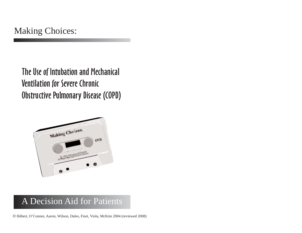The Use of Intubation and Mechanical Ventilation for Severe Chronic Obstructive Pulmonary Disease (COPD)



### A Decision Aid for Patients

© Hébert, O'Connor, Aaron, Wilson, Dales, Fiset, Viola, McKim 2004 (reviewed 2008)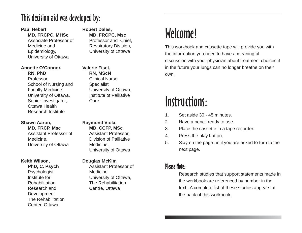### This decision aid was developed by:

#### **Paul Hébert**

#### **MD, FRCPC, MHSc**

Associate Professor of Medicine and Epidemiology, University of Ottawa

#### **Annette O'Connor,**

#### **RN, PhD**

Professor, School of Nursing and Faculty Medicine, University of Ottawa, Senior Investigator, Ottawa Health Research Institute

#### **Shawn Aaron, MD, FRCP, Msc**

Assistant Professor of Medicine, University of Ottawa

#### **Keith Wilson,**

**PhD, C. Psych** Psychologist Institute for Rehabilitation Research and **Development** The Rehabilitation Center, Ottawa

#### **Robert Dales, MD, FRCPC, Msc** Professor and Chief, Respiratory Division, University of Ottawa

#### **Valerie Fiset, RN, MScN**

Clinical Nurse Specialist University of Ottawa, Institute of Palliative Care

#### **Raymond Viola, MD, CCFP, MSc**

Assistant Professor, Division of Palliative Medicine, University of Ottawa

#### **Douglas McKim**

Assistant Professor of Medicine University of Ottawa, The Rehabilitation Centre, Ottawa

## Welcome!

This workbook and cassette tape will provide you with the information you need to have a meaningful discussion with your physician about treatment choices if in the future your lungs can no longer breathe on their own.

## Instructions:

- 1. Set aside 30 45 minutes.
- 2. Have a pencil ready to use.
- 3. Place the cassette in a tape recorder.
- 4. Press the play button.
- 5. Stay on the page until you are asked to turn to the next page.

### Please Note:

Research studies that support statements made in the workbook are referenced by number in the text. A complete list of these studies appears at the back of this workbook.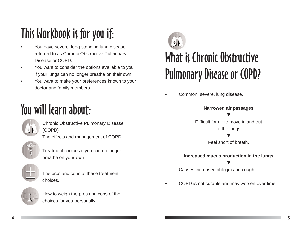## This Workbook is for you if:

- You have severe, long-standing lung disease, referred to as Chronic Obstructive Pulmonary Disease or COPD.
- You want to consider the options available to you if your lungs can no longer breathe on their own.
- You want to make your preferences known to your doctor and family members.

## You will learn about:



Chronic Obstructive Pulmonary Disease (COPD) The effects and management of COPD.



Treatment choices if you can no longer breathe on your own.



The pros and cons of these treatment choices.



How to weigh the pros and cons of the choices for you personally.



Common, severe, lung disease.

**Narrowed air passages** T Difficult for air to move in and out of the lungs T

Feel short of breath.

#### I**ncreased mucus production in the lungs** T

Causes increased phlegm and cough.

• COPD is not curable and may worsen over time.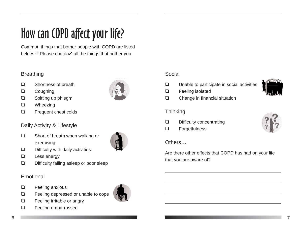## How can COPD affect your life?

Common things that bother people with COPD are listed below.  $1-3$  Please check  $\vee$  all the things that bother you.

#### Breathing

- □ Shortness of breath
- **Q** Coughing
- □ Spitting up phlegm
- **Q** Wheezing
- **Example 1** Frequent chest colds

#### Daily Activity & Lifestyle

 $\Box$  Short of breath when walking or exercising



- $\Box$  Difficulty with daily activities
- $\Box$  Less energy
- $\Box$  Difficulty falling asleep or poor sleep

#### Emotional

- **E** Feeling anxious
- □ Feeling depressed or unable to cope
- □ Feeling irritable or angry
- **Q** Feeling embarrassed

#### Social

- $\Box$  Unable to participate in social activities
- **E** Feeling isolated
- □ Change in financial situation

#### **Thinking**

- Difficulty concentrating
- **Q** Forgetfulness

#### Others…

Are there other effects that COPD has had on your life that you are aware of?



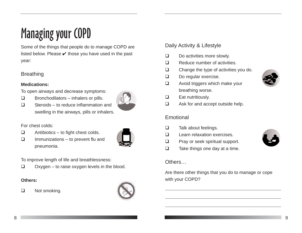## Managing your COPD

Some of the things that people do to manage COPD are listed below. Please  $\checkmark$  those you have used in the past year:

#### **Breathing**

#### **Medications:**

To open airways and decrease symptoms:

 $\Box$  Bronchodilators – inhalers or pills.

 $\Box$  Steroids – to reduce inflammation and

swelling in the airways, pills or inhalers.

- For chest colds:
- $\Box$  Antibiotics to fight chest colds.
- $\Box$  Immunizations to prevent flu and pneumonia.



To improve length of life and breathlessness:

 $\Box$  Oxygen – to raise oxygen levels in the blood.

#### **Others:**

**Not smoking.** 



#### Daily Activity & Lifestyle

- $\Box$  Do activities more slowly.
- $\Box$  Reduce number of activities.
- $\Box$  Change the type of activities you do.
- Do regular exercise.
- $\Box$  Avoid triggers which make your breathing worse.
- $\Box$  Eat nutritiously.
- $\Box$  Ask for and accept outside help.

#### Emotional

- $\Box$  Talk about feelings.
- □ Learn relaxation exercises.
- **Q** Pray or seek spiritual support.
- $\Box$  Take things one day at a time.

#### **Others**

Are there other things that you do to manage or cope with your COPD?

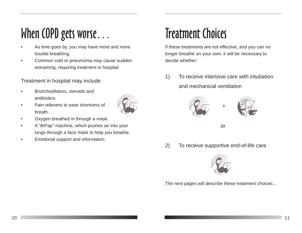## When COPD gets worse...

- As time goes by, you may have more and more trouble breathing.
- Common cold or pneumonia may cause sudden worsening, requiring treatment in hospital.

Treatment in hospital may include:

- Bronchodilators, steroids and antibiotics.
- Pain relievers to ease shortness of breath.



- Oxygen breathed in through a mask.
- A "BiPap" machine, which pushes air into your lungs through a face mask to help you breathe.
- Emotional support and information.

## Treatment Choices

If these treatments are not effective, and you can no longer breathe on your own, it will be necessary to decide whether:

1) To receive intensive care with intubation and mechanical ventilation



2) To receive supportive end-of-life care



The next pages will describe these treatment choices...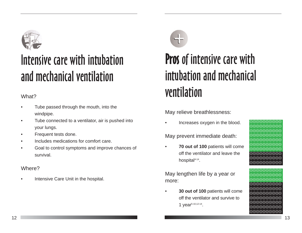

## Intensive care with intubation and mechanical ventilation

#### What?

- Tube passed through the mouth, into the windpipe.
- Tube connected to a ventilator, air is pushed into your lungs.
- Frequent tests done.
- Includes medications for comfort care.
- Goal to control symptoms and improve chances of survival.

#### Where?

Intensive Care Unit in the hospital.



## Pros of intensive care with intubation and mechanical ventilation

May relieve breathlessness:

• Increases oxygen in the blood.

May prevent immediate death:

• **70 out of 100** patients will come off the ventilator and leave the hospital<sup>4-14</sup>.

May lengthen life by a year or more:

• **30 out of 100** patients will come off the ventilator and survive to 1 year<sup>5-10,12-14</sup>.



00000000 00000000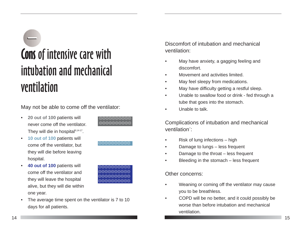# Cons of intensive care with intubation and mechanical ventilation

May not be able to come off the ventilator:

.......... ..........

<u>a.a.a.a.a.a.a.</u>

00000000 00000000 00000000 00000000

- **20 out of 100** patients will never come off the ventilator. They will die in hospital<sup>9,14-17</sup>.
- **10 out of 100** patients will come off the ventilator, but they will die before leaving hospital.
- **40 out of 100** patients will come off the ventilator and they will leave the hospital alive, but they will die within one year.



Discomfort of intubation and mechanical ventilation:

- May have anxiety, a gagging feeling and discomfort.
- Movement and activities limited.
- May feel sleepy from medications.
- May have difficulty getting a restful sleep.
- Unable to swallow food or drink fed through a tube that goes into the stomach.
- Unable to talk.

Complications of intubation and mechanical ventilation<sup>"</sup>:

- Risk of lung infections high
- Damage to lungs less frequent
- Damage to the throat less frequent
- Bleeding in the stomach less frequent

#### Other concerns:

- Weaning or coming off the ventilator may cause you to be breathless.
- COPD will be no better, and it could possibly be worse than before intubation and mechanical ventilation.

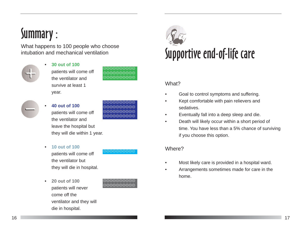## Summary :

What happens to 100 people who choose intubation and mechanical ventilation



• **30 out of 100** patients will come off the ventilator and survive at least 1

year.



00000000

- 
- **40 out of 100** patients will come off



- the ventilator and leave the hospital but they will die within 1 year.
- **10 out of 100**

patients will come off the ventilator but they will die in hospital.

• **20 out of 100** patients will never come off the ventilator and they will die in hospital.



 $\Theta\Theta\Theta\Theta$ 



#### What?

- Goal to control symptoms and suffering.
- Kept comfortable with pain relievers and sedatives.
- Eventually fall into a deep sleep and die.
- Death will likely occur within a short period of time. You have less than a 5% chance of surviving if you choose this option.

#### Where?

- Most likely care is provided in a hospital ward.
- Arrangements sometimes made for care in the home.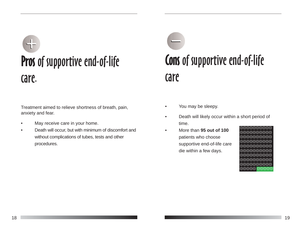# Pros of supportive end-of-life care.

Treatment aimed to relieve shortness of breath, pain, anxiety and fear.

- May receive care in your home.
- Death will occur, but with minimum of discomfort and without complications of tubes, tests and other procedures.

# Cons of supportive end-of-life care

- You may be sleepy.
- Death will likely occur within a short period of time.
- More than **95 out of 100** patients who choose supportive end-of-life care die within a few days.

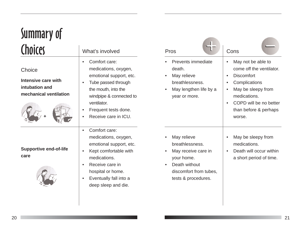## Summary of **Choices**

| Choice |
|--------|
|        |
|        |

**Intensive care with intubation and mechanical ventilation**



#### **Supportive end-of-life care**



#### What's involved

- Comfort care: medications, oxygen, emotional support, etc.
- Tube passed through the mouth, into the windpipe & connected to ventilator.
- Frequent tests done.
- Receive care in ICU.
- Comfort care: medications, oxygen, emotional support, etc.
- Kept comfortable with medications.
- Receive care in hospital or home.
- Eventually fall into a deep sleep and die.

| Pros                                                                                                                                  | Cons                                                                                                                                                                                    |
|---------------------------------------------------------------------------------------------------------------------------------------|-----------------------------------------------------------------------------------------------------------------------------------------------------------------------------------------|
| <b>Prevents immediate</b><br>death.<br>May relieve<br>breathlessness.<br>May lengthen life by a<br>year or more.                      | May not be able to<br>come off the ventilator.<br><b>Discomfort</b><br>Complications<br>May be sleepy from<br>medications.<br>COPD will be no better<br>than before & perhaps<br>worse. |
| May relieve<br>breathlessness.<br>May receive care in<br>your home.<br>Death without<br>discomfort from tubes,<br>tests & procedures. | May be sleepy from<br>medications.<br>Death will occur within<br>a short period of time.                                                                                                |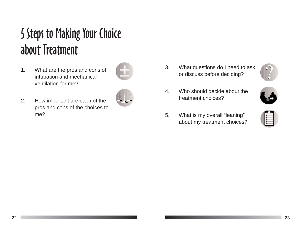## Steps to Making Your Choice 5about Treatment

1. What are the pros and cons of intubation and mechanical ventilation for me?



- 2. How important are each of the pros and cons of the choices to me?
- 

3. What questions do I need to ask or discuss before deciding?



- 4. Who should decide about the treatment choices?
- 5. What is my overall "leaning" about my treatment choices?

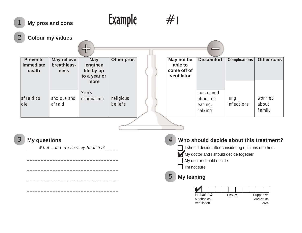#### #1 What can I do to stay healthy? \_\_\_\_\_\_\_\_\_\_\_\_\_\_\_\_\_\_\_\_\_\_\_\_\_\_\_\_\_\_\_\_ \_\_\_\_\_\_\_\_\_\_\_\_\_\_\_\_\_\_\_\_\_\_\_\_\_\_\_\_\_\_\_\_ \_\_\_\_\_\_\_\_\_\_\_\_\_\_\_\_\_\_\_\_\_\_\_\_\_\_\_\_\_\_\_\_ \_\_\_\_\_\_\_\_\_\_\_\_\_\_\_\_\_\_\_\_\_\_\_\_\_\_\_\_\_\_\_\_ Example **Prevents immediate death** afraid to die **May relieve breathlessness** anxious and afraid **May lengthen life by up to a year or more** Son's graduation **Other pros** religious beliefs **May not be able to come off of ventilator Discomfort** concerned about no eating, talking **Complications** lung infections **Other cons** worried about family **1 2 3 5 4** My doctor and I should decide together **My pros and cons Colour my values My questions My leaning Who should decide about this treatment?** ✔ I should decide after considering opinions of others My doctor should decide I'm not sure Intubation & Mechanical **Ventilation** Supportive end-of-life care Unsure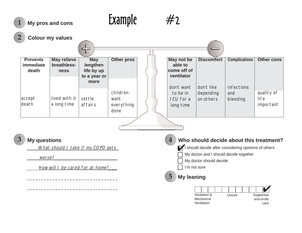#### $#2$ What should I take if my COPD gets worse? How will I be cared for at home? \_\_\_\_\_\_\_\_\_\_\_\_\_\_\_\_\_\_\_\_\_\_\_\_\_\_\_\_\_\_\_\_ **1** My pros and cons **Example 2 3 5 4** ✔ I should decide after considering opinions of others **My pros and cons Colour my values My questions My leaning Who should decide about this treatment?** ✔ My doctor and I should decide together My doctor should decide I'm not sure **Prevents immediate death** accept death **May relieve breathlessness** lived with it a long time **May lengthen life by up to a year or more** settle affairs **Other pros** children want everything done **May not be able to come off of ventilator** don't want to be in ICU for a long time **Discomfort** don't like depending on others **Complications** infections and bleeding **Other cons** quality of life important

\_\_\_\_\_\_\_\_\_\_\_\_\_\_\_\_\_\_\_\_\_\_\_\_\_\_\_\_\_\_\_\_

| Intubation & |  | Unsure |  |  |  | Supportive |             |  |
|--------------|--|--------|--|--|--|------------|-------------|--|
| Mechanical   |  |        |  |  |  |            | end-of-life |  |
| Ventilation  |  |        |  |  |  |            | care        |  |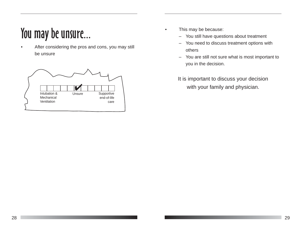## You may be unsure...

After considering the pros and cons, you may still be unsure



- This may be because:
	- You still have questions about treatment
	- You need to discuss treatment options with others
	- You are still not sure what is most important to you in the decision.

It is important to discuss your decision with your family and physician.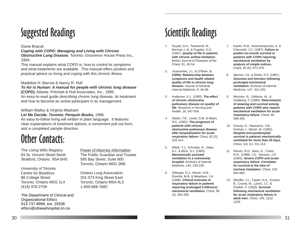## Suggested Readings

#### Diane Bracuk

*Coping with COPD: Managing and Living with Chronic Obstructive Lung Disease.* Toronto: Grosvenor House Press Inc., 1994.

This manual explains what COPD is, how to control its symptoms and what treatments are available. This manual offers positive and practical advice on living and coping with this chronic illness.

#### Madeline H. Barrow & Nancy R. Hull

*To Air is Human: A manual for people with chronic lung disease (COPD).* Atlanta: Pritchett & Hull Associates, Inc., 1995. An easy-to-read guide describing chronic lung disease, its treatment

and how to become an active participant in its management.

#### William Malloy & Virginia Mepham

*Let Me Decide. Toronto: Penquin Books,* 1996.

An easy-to-follow living will written in plain language. It features clear explanations of treatment options, a convenient pull out form, and a completed sample directive.

## Other Contacts:

The Living Wills Registry 93 St. Vincent Street North Stratford, Ontario N5A 6H5

University of Toronto Centre for Bioethics 88 College Street Toronto, Ontario M5G 1L4 (416) 978-2709

The Department of Clinical and Organizational Ethics 613-737-8899, ext. 19338 ethics@ottawahospital.on.ca

Power of Attorney Information The Public Guardian and Trustee 595 Bay Street, Suite 800 Toronto, Ontario M5G 2M6

Ontario Lung Association 201-573 King Street East Toronto, Ontario M5A 4L3 1-800-668-7682

## Scientific Readings

- 1. Guyatt, G.H., Townsend, M., Berman, L.B. & Pugsley, S.O. (1987). *Quality of life in patients with chronic airflow limitation.* British Journal of Diseases of the Chest, 81, 45-54.
- 2. Viramontes, J.L. & O'Brien, B. *(1994). Relationship between symptoms and health related quality of life in chronic lung disease.* Journal of General Internal Medicine, 9, 46-48.
- 3. Anderson, K.L. (1995). *The effect of chronic obstructive pulmonary disease on quality of life.* Research in Nursing and Health, 18, 547-556.
- 4. Martin, T.R., Lewis, S.W. & Albert, R.K. (1982). *The prognosis of patients with chronic obstructive pulmonary disease after hospitalization for acute respiratory failure.* Chest, 82 (3), 310-314.
- 5. Witek, T.J., Schnater, N., Dean, N.L. & Beck, G.J. (1985). *Mechanically assisted ventilation in a community hospital.* Archives of Internal Medicine, 145, 235-239.
- 6. Gillespie, D.J., Marsh, H.M., Divertie, M.B. & Meadows, J.A. (1986). *Clinical outcome of respiratory failure in patients requiring prolonged (>24hours) mechanical ventilation.* Chest, 90 (3), 364-369.
- 7. Kaelin, R.M., Assimacopoulos, A. & Chevrolet, J.C. (1987). *Failure to predict six-month survival in patients with COPD requiring mechanical ventilation by analysis of simple indices.* Chest, 92 (6), 971-978.
- 8. Spicher, J.E. & White, D.P. (1987). *Outcome and function following prolonged mechanical ventilation.* Archives of Internal Medicine, 147, 421-425.
- 9. Menzies, R., Gibbons, W., & Goldberg, P. (1989). *Determinants of weaning and survival among patients with COPD who require mechanical ventilation for acute respiratory failure.* Chest, 95, 398-405.
- 10. Gracey, D., Naessens, J.M., Krishan, I., Marsh, M. (1992). *Hospital and posthospital survival in patients mechanically ventilated for more than 29 days.* Chest, 101 (1), 211-214.
- 11. Rieves, R.D., Bass, D., Carter, R.R., Griffith, J.E., Norman, J.R. (1993). *Severe COPD and acute respiratory failure: Correlates for survival at the time of tracheal intubation.* Chest, 104, 854-860.
- 12. Stauffer, J.L., Fayter, N.A., Graves, B., Cromb, M., Lynch, J.C. & Goebel, P. (1993). **Survival following mechanical ventilation for acute respiratory failure in adult men.** Chest, 104, 1222- 1229.